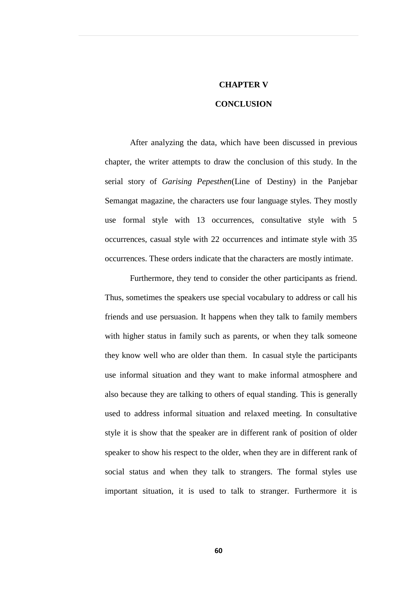## **CHAPTER V**

## **CONCLUSION**

After analyzing the data, which have been discussed in previous chapter, the writer attempts to draw the conclusion of this study. In the serial story of *Garising Pepesthen*(Line of Destiny) in the Panjebar Semangat magazine, the characters use four language styles. They mostly use formal style with 13 occurrences, consultative style with 5 occurrences, casual style with 22 occurrences and intimate style with 35 occurrences. These orders indicate that the characters are mostly intimate.

Furthermore, they tend to consider the other participants as friend. Thus, sometimes the speakers use special vocabulary to address or call his friends and use persuasion. It happens when they talk to family members with higher status in family such as parents, or when they talk someone they know well who are older than them. In casual style the participants use informal situation and they want to make informal atmosphere and also because they are talking to others of equal standing. This is generally used to address informal situation and relaxed meeting. In consultative style it is show that the speaker are in different rank of position of older speaker to show his respect to the older, when they are in different rank of social status and when they talk to strangers. The formal styles use important situation, it is used to talk to stranger. Furthermore it is